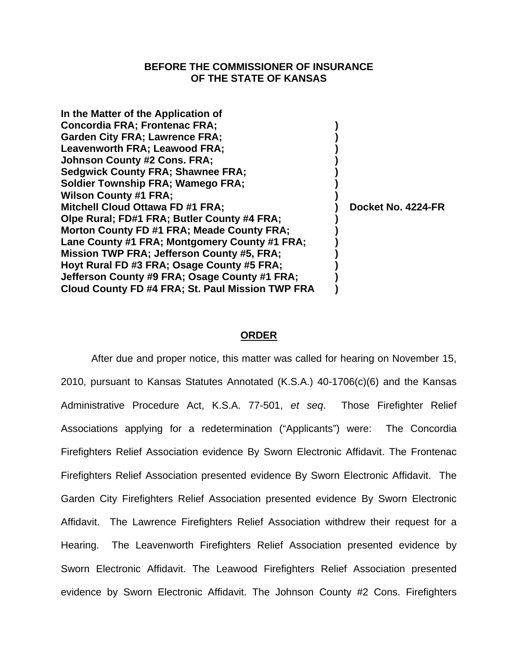# **BEFORE THE COMMISSIONER OF INSURANCE OF THE STATE OF KANSAS**

| Docket No. 4224-FR |  |
|--------------------|--|
|                    |  |

## **ORDER**

After due and proper notice, this matter was called for hearing on November 15, 2010, pursuant to Kansas Statutes Annotated (K.S.A.) 40-1706(c)(6) and the Kansas Administrative Procedure Act, K.S.A. 77-501, *et seq*.Those Firefighter Relief Associations applying for a redetermination ("Applicants") were: The Concordia Firefighters Relief Association evidence By Sworn Electronic Affidavit. The Frontenac Firefighters Relief Association presented evidence By Sworn Electronic Affidavit. The Garden City Firefighters Relief Association presented evidence By Sworn Electronic Affidavit. The Lawrence Firefighters Relief Association withdrew their request for a Hearing. The Leavenworth Firefighters Relief Association presented evidence by Sworn Electronic Affidavit. The Leawood Firefighters Relief Association presented evidence by Sworn Electronic Affidavit. The Johnson County #2 Cons. Firefighters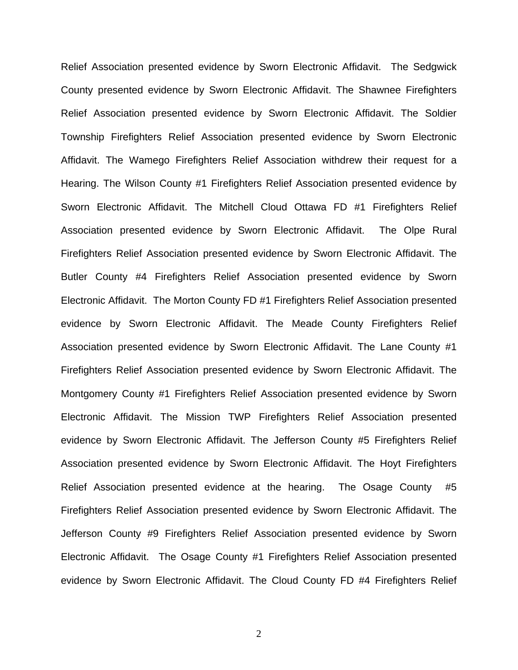Relief Association presented evidence by Sworn Electronic Affidavit. The Sedgwick County presented evidence by Sworn Electronic Affidavit. The Shawnee Firefighters Relief Association presented evidence by Sworn Electronic Affidavit. The Soldier Township Firefighters Relief Association presented evidence by Sworn Electronic Affidavit. The Wamego Firefighters Relief Association withdrew their request for a Hearing. The Wilson County #1 Firefighters Relief Association presented evidence by Sworn Electronic Affidavit. The Mitchell Cloud Ottawa FD #1 Firefighters Relief Association presented evidence by Sworn Electronic Affidavit. The Olpe Rural Firefighters Relief Association presented evidence by Sworn Electronic Affidavit. The Butler County #4 Firefighters Relief Association presented evidence by Sworn Electronic Affidavit. The Morton County FD #1 Firefighters Relief Association presented evidence by Sworn Electronic Affidavit. The Meade County Firefighters Relief Association presented evidence by Sworn Electronic Affidavit. The Lane County #1 Firefighters Relief Association presented evidence by Sworn Electronic Affidavit. The Montgomery County #1 Firefighters Relief Association presented evidence by Sworn Electronic Affidavit. The Mission TWP Firefighters Relief Association presented evidence by Sworn Electronic Affidavit. The Jefferson County #5 Firefighters Relief Association presented evidence by Sworn Electronic Affidavit. The Hoyt Firefighters Relief Association presented evidence at the hearing. The Osage County #5 Firefighters Relief Association presented evidence by Sworn Electronic Affidavit. The Jefferson County #9 Firefighters Relief Association presented evidence by Sworn Electronic Affidavit. The Osage County #1 Firefighters Relief Association presented evidence by Sworn Electronic Affidavit. The Cloud County FD #4 Firefighters Relief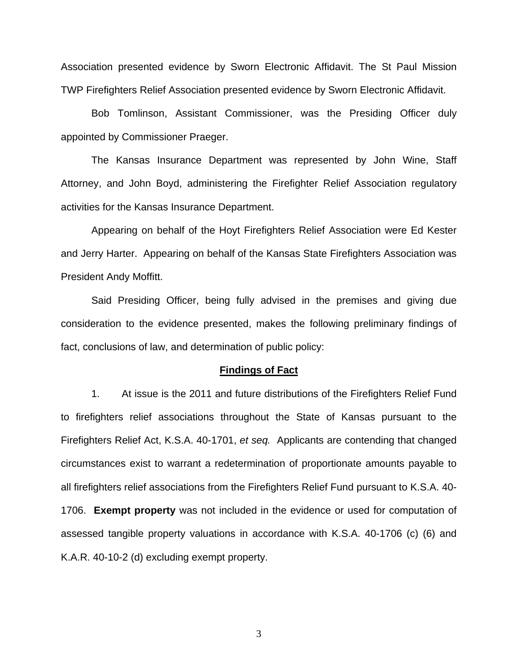Association presented evidence by Sworn Electronic Affidavit. The St Paul Mission TWP Firefighters Relief Association presented evidence by Sworn Electronic Affidavit.

 Bob Tomlinson, Assistant Commissioner, was the Presiding Officer duly appointed by Commissioner Praeger.

 The Kansas Insurance Department was represented by John Wine, Staff Attorney, and John Boyd, administering the Firefighter Relief Association regulatory activities for the Kansas Insurance Department.

 Appearing on behalf of the Hoyt Firefighters Relief Association were Ed Kester and Jerry Harter. Appearing on behalf of the Kansas State Firefighters Association was President Andy Moffitt.

 Said Presiding Officer, being fully advised in the premises and giving due consideration to the evidence presented, makes the following preliminary findings of fact, conclusions of law, and determination of public policy:

#### **Findings of Fact**

1. At issue is the 2011 and future distributions of the Firefighters Relief Fund to firefighters relief associations throughout the State of Kansas pursuant to the Firefighters Relief Act, K.S.A. 40-1701, *et seq.* Applicants are contending that changed circumstances exist to warrant a redetermination of proportionate amounts payable to all firefighters relief associations from the Firefighters Relief Fund pursuant to K.S.A. 40- 1706. **Exempt property** was not included in the evidence or used for computation of assessed tangible property valuations in accordance with K.S.A. 40-1706 (c) (6) and K.A.R. 40-10-2 (d) excluding exempt property.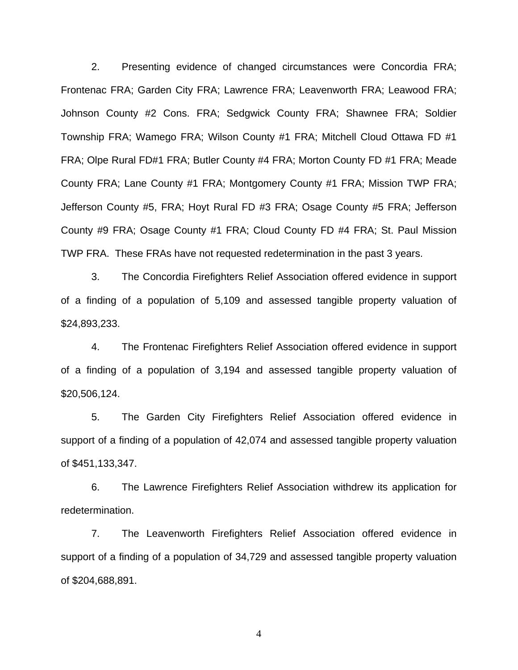2. Presenting evidence of changed circumstances were Concordia FRA; Frontenac FRA; Garden City FRA; Lawrence FRA; Leavenworth FRA; Leawood FRA; Johnson County #2 Cons. FRA; Sedgwick County FRA; Shawnee FRA; Soldier Township FRA; Wamego FRA; Wilson County #1 FRA; Mitchell Cloud Ottawa FD #1 FRA; Olpe Rural FD#1 FRA; Butler County #4 FRA; Morton County FD #1 FRA; Meade County FRA; Lane County #1 FRA; Montgomery County #1 FRA; Mission TWP FRA; Jefferson County #5, FRA; Hoyt Rural FD #3 FRA; Osage County #5 FRA; Jefferson County #9 FRA; Osage County #1 FRA; Cloud County FD #4 FRA; St. Paul Mission TWP FRA. These FRAs have not requested redetermination in the past 3 years.

3. The Concordia Firefighters Relief Association offered evidence in support of a finding of a population of 5,109 and assessed tangible property valuation of \$24,893,233.

4. The Frontenac Firefighters Relief Association offered evidence in support of a finding of a population of 3,194 and assessed tangible property valuation of \$20,506,124.

5. The Garden City Firefighters Relief Association offered evidence in support of a finding of a population of 42,074 and assessed tangible property valuation of \$451,133,347.

 6. The Lawrence Firefighters Relief Association withdrew its application for redetermination.

7. The Leavenworth Firefighters Relief Association offered evidence in support of a finding of a population of 34,729 and assessed tangible property valuation of \$204,688,891.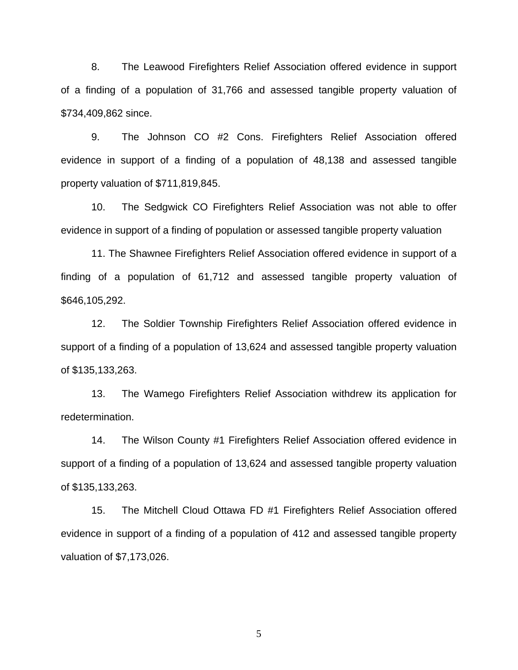8. The Leawood Firefighters Relief Association offered evidence in support of a finding of a population of 31,766 and assessed tangible property valuation of \$734,409,862 since.

9. The Johnson CO #2 Cons. Firefighters Relief Association offered evidence in support of a finding of a population of 48,138 and assessed tangible property valuation of \$711,819,845.

10. The Sedgwick CO Firefighters Relief Association was not able to offer evidence in support of a finding of population or assessed tangible property valuation

11. The Shawnee Firefighters Relief Association offered evidence in support of a finding of a population of 61,712 and assessed tangible property valuation of \$646,105,292.

12. The Soldier Township Firefighters Relief Association offered evidence in support of a finding of a population of 13,624 and assessed tangible property valuation of \$135,133,263.

13. The Wamego Firefighters Relief Association withdrew its application for redetermination.

14. The Wilson County #1 Firefighters Relief Association offered evidence in support of a finding of a population of 13,624 and assessed tangible property valuation of \$135,133,263.

15. The Mitchell Cloud Ottawa FD #1 Firefighters Relief Association offered evidence in support of a finding of a population of 412 and assessed tangible property valuation of \$7,173,026.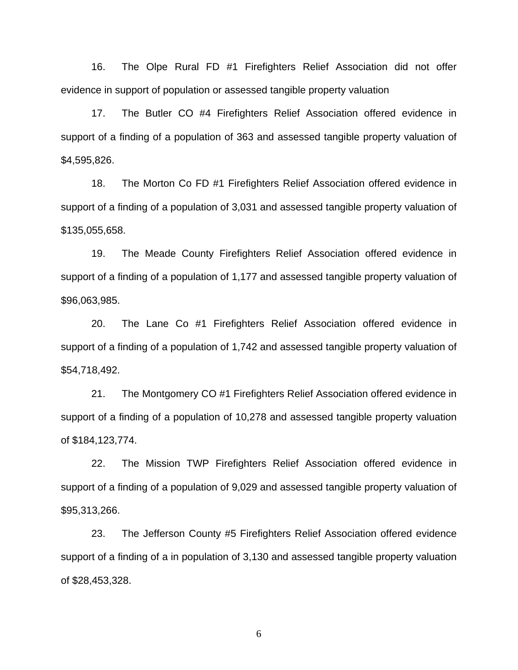16. The Olpe Rural FD #1 Firefighters Relief Association did not offer evidence in support of population or assessed tangible property valuation

17. The Butler CO #4 Firefighters Relief Association offered evidence in support of a finding of a population of 363 and assessed tangible property valuation of \$4,595,826.

18. The Morton Co FD #1 Firefighters Relief Association offered evidence in support of a finding of a population of 3,031 and assessed tangible property valuation of \$135,055,658.

19. The Meade County Firefighters Relief Association offered evidence in support of a finding of a population of 1,177 and assessed tangible property valuation of \$96,063,985.

20. The Lane Co #1 Firefighters Relief Association offered evidence in support of a finding of a population of 1,742 and assessed tangible property valuation of \$54,718,492.

21. The Montgomery CO #1 Firefighters Relief Association offered evidence in support of a finding of a population of 10,278 and assessed tangible property valuation of \$184,123,774.

22. The Mission TWP Firefighters Relief Association offered evidence in support of a finding of a population of 9,029 and assessed tangible property valuation of \$95,313,266.

23. The Jefferson County #5 Firefighters Relief Association offered evidence support of a finding of a in population of 3,130 and assessed tangible property valuation of \$28,453,328.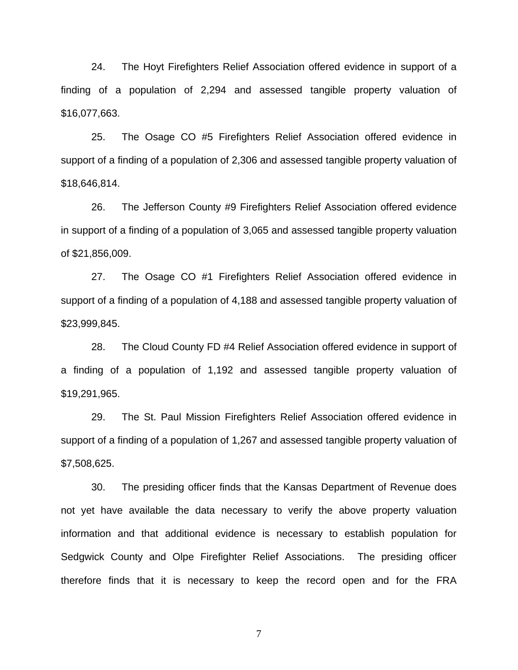24. The Hoyt Firefighters Relief Association offered evidence in support of a finding of a population of 2,294 and assessed tangible property valuation of \$16,077,663.

25. The Osage CO #5 Firefighters Relief Association offered evidence in support of a finding of a population of 2,306 and assessed tangible property valuation of \$18,646,814.

26. The Jefferson County #9 Firefighters Relief Association offered evidence in support of a finding of a population of 3,065 and assessed tangible property valuation of \$21,856,009.

27. The Osage CO #1 Firefighters Relief Association offered evidence in support of a finding of a population of 4,188 and assessed tangible property valuation of \$23,999,845.

28. The Cloud County FD #4 Relief Association offered evidence in support of a finding of a population of 1,192 and assessed tangible property valuation of \$19,291,965.

29. The St. Paul Mission Firefighters Relief Association offered evidence in support of a finding of a population of 1,267 and assessed tangible property valuation of \$7,508,625.

30. The presiding officer finds that the Kansas Department of Revenue does not yet have available the data necessary to verify the above property valuation information and that additional evidence is necessary to establish population for Sedgwick County and Olpe Firefighter Relief Associations. The presiding officer therefore finds that it is necessary to keep the record open and for the FRA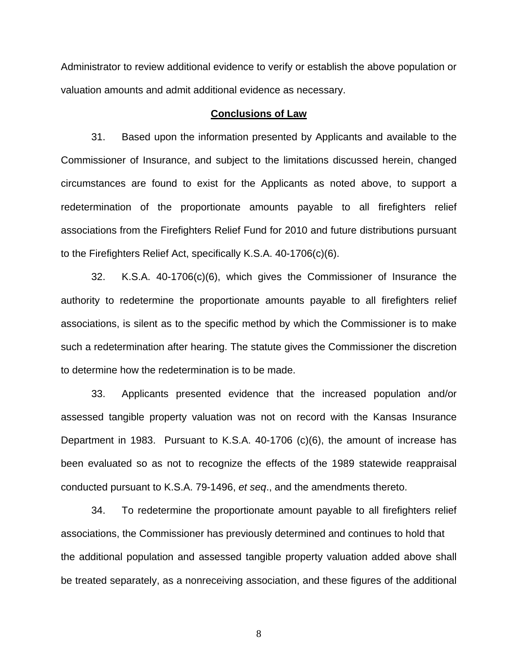Administrator to review additional evidence to verify or establish the above population or valuation amounts and admit additional evidence as necessary.

### **Conclusions of Law**

31. Based upon the information presented by Applicants and available to the Commissioner of Insurance, and subject to the limitations discussed herein, changed circumstances are found to exist for the Applicants as noted above, to support a redetermination of the proportionate amounts payable to all firefighters relief associations from the Firefighters Relief Fund for 2010 and future distributions pursuant to the Firefighters Relief Act, specifically K.S.A. 40-1706(c)(6).

 32. K.S.A. 40-1706(c)(6), which gives the Commissioner of Insurance the authority to redetermine the proportionate amounts payable to all firefighters relief associations, is silent as to the specific method by which the Commissioner is to make such a redetermination after hearing. The statute gives the Commissioner the discretion to determine how the redetermination is to be made.

 33. Applicants presented evidence that the increased population and/or assessed tangible property valuation was not on record with the Kansas Insurance Department in 1983. Pursuant to K.S.A. 40-1706 (c)(6), the amount of increase has been evaluated so as not to recognize the effects of the 1989 statewide reappraisal conducted pursuant to K.S.A. 79-1496, *et seq*., and the amendments thereto.

34. To redetermine the proportionate amount payable to all firefighters relief associations, the Commissioner has previously determined and continues to hold that the additional population and assessed tangible property valuation added above shall be treated separately, as a nonreceiving association, and these figures of the additional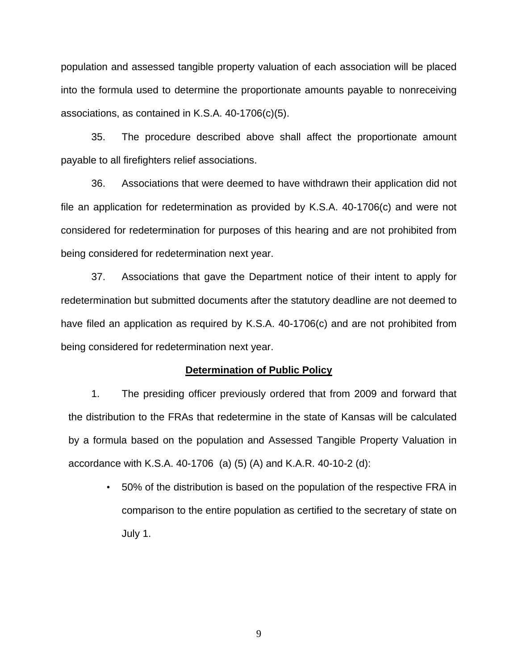population and assessed tangible property valuation of each association will be placed into the formula used to determine the proportionate amounts payable to nonreceiving associations, as contained in K.S.A. 40-1706(c)(5).

35. The procedure described above shall affect the proportionate amount payable to all firefighters relief associations.

36. Associations that were deemed to have withdrawn their application did not file an application for redetermination as provided by K.S.A. 40-1706(c) and were not considered for redetermination for purposes of this hearing and are not prohibited from being considered for redetermination next year.

37. Associations that gave the Department notice of their intent to apply for redetermination but submitted documents after the statutory deadline are not deemed to have filed an application as required by K.S.A. 40-1706(c) and are not prohibited from being considered for redetermination next year.

#### **Determination of Public Policy**

1. The presiding officer previously ordered that from 2009 and forward that the distribution to the FRAs that redetermine in the state of Kansas will be calculated by a formula based on the population and Assessed Tangible Property Valuation in accordance with K.S.A. 40-1706 (a) (5) (A) and K.A.R. 40-10-2 (d):

• 50% of the distribution is based on the population of the respective FRA in comparison to the entire population as certified to the secretary of state on July 1.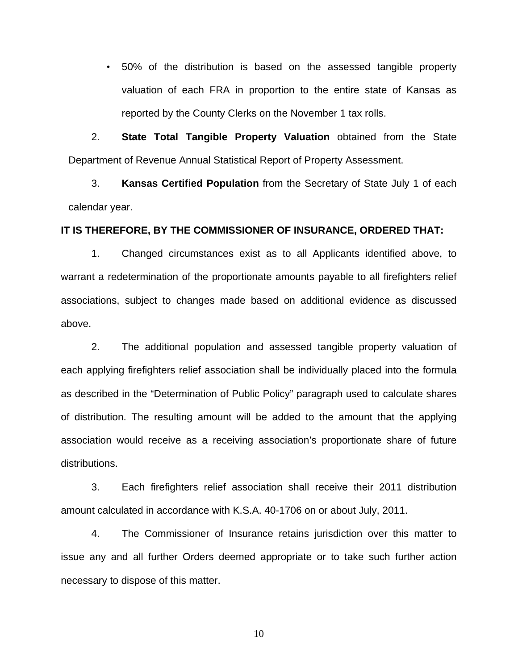• 50% of the distribution is based on the assessed tangible property valuation of each FRA in proportion to the entire state of Kansas as reported by the County Clerks on the November 1 tax rolls.

2. **State Total Tangible Property Valuation** obtained from the State Department of Revenue Annual Statistical Report of Property Assessment.

3. **Kansas Certified Population** from the Secretary of State July 1 of each calendar year.

## **IT IS THEREFORE, BY THE COMMISSIONER OF INSURANCE, ORDERED THAT:**

1. Changed circumstances exist as to all Applicants identified above, to warrant a redetermination of the proportionate amounts payable to all firefighters relief associations, subject to changes made based on additional evidence as discussed above.

 2. The additional population and assessed tangible property valuation of each applying firefighters relief association shall be individually placed into the formula as described in the "Determination of Public Policy" paragraph used to calculate shares of distribution. The resulting amount will be added to the amount that the applying association would receive as a receiving association's proportionate share of future distributions.

3. Each firefighters relief association shall receive their 2011 distribution amount calculated in accordance with K.S.A. 40-1706 on or about July, 2011.

4. The Commissioner of Insurance retains jurisdiction over this matter to issue any and all further Orders deemed appropriate or to take such further action necessary to dispose of this matter.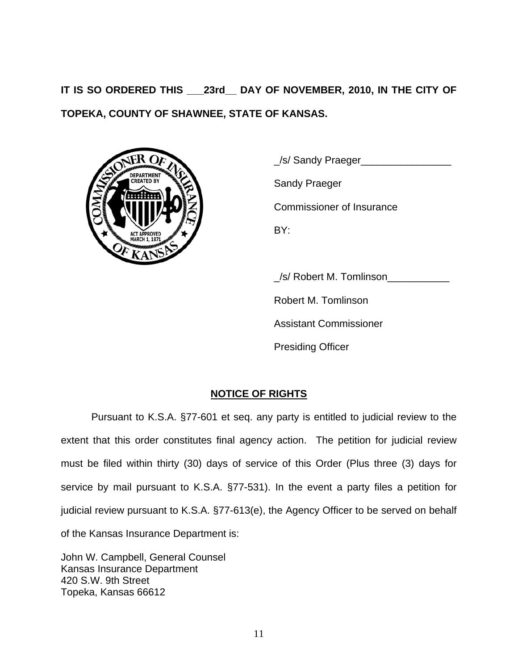**IT IS SO ORDERED THIS \_\_\_23rd\_\_ DAY OF NOVEMBER, 2010, IN THE CITY OF TOPEKA, COUNTY OF SHAWNEE, STATE OF KANSAS.** 



\_/s/ Sandy Praeger\_\_\_\_\_\_\_\_\_\_\_\_\_\_\_\_

Commissioner of Insurance

\_/s/ Robert M. Tomlinson\_\_\_\_\_\_\_\_\_\_\_

Robert M. Tomlinson

Assistant Commissioner

Presiding Officer

# **NOTICE OF RIGHTS**

Pursuant to K.S.A. §77-601 et seq. any party is entitled to judicial review to the extent that this order constitutes final agency action. The petition for judicial review must be filed within thirty (30) days of service of this Order (Plus three (3) days for service by mail pursuant to K.S.A. §77-531). In the event a party files a petition for judicial review pursuant to K.S.A. §77-613(e), the Agency Officer to be served on behalf of the Kansas Insurance Department is:

John W. Campbell, General Counsel Kansas Insurance Department 420 S.W. 9th Street Topeka, Kansas 66612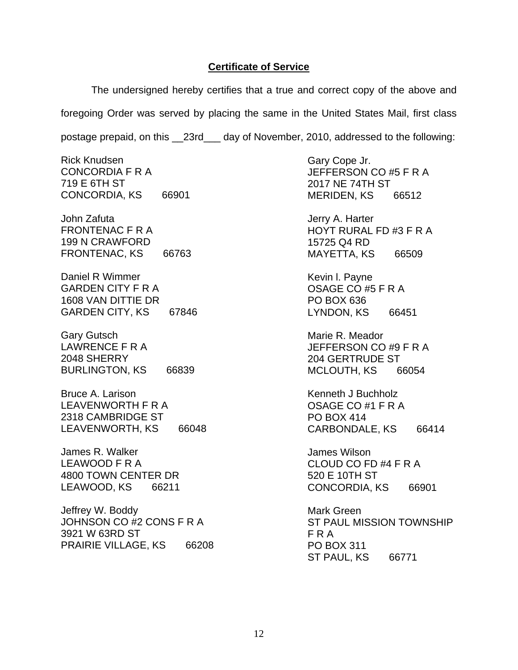# **Certificate of Service**

The undersigned hereby certifies that a true and correct copy of the above and foregoing Order was served by placing the same in the United States Mail, first class postage prepaid, on this \_\_23rd\_\_\_ day of November, 2010, addressed to the following:

Rick Knudsen CONCORDIA F R A 719 E 6TH ST CONCORDIA, KS 66901

John Zafuta FRONTENAC F R A 199 N CRAWFORD FRONTENAC, KS 66763

Daniel R Wimmer GARDEN CITY F R A 1608 VAN DITTIE DR GARDEN CITY, KS 67846

Gary Gutsch LAWRENCE F R A 2048 SHERRY BURLINGTON, KS 66839

Bruce A. Larison LEAVENWORTH F R A 2318 CAMBRIDGE ST LEAVENWORTH, KS 66048

James R. Walker LEAWOOD F R A 4800 TOWN CENTER DR LEAWOOD, KS 66211

Jeffrey W. Boddy JOHNSON CO #2 CONS F R A 3921 W 63RD ST PRAIRIE VILLAGE, KS 66208 Gary Cope Jr. JEFFERSON CO #5 F R A 2017 NE 74TH ST MERIDEN, KS 66512

Jerry A. Harter HOYT RURAL FD #3 F R A 15725 Q4 RD MAYETTA, KS 66509

Kevin l. Payne OSAGE CO #5 F R A PO BOX 636 LYNDON, KS 66451

Marie R. Meador JEFFERSON CO #9 F R A 204 GERTRUDE ST MCLOUTH, KS 66054

Kenneth J Buchholz OSAGE CO #1 F R A PO BOX 414 CARBONDALE, KS 66414

James Wilson CLOUD CO FD #4 F R A 520 E 10TH ST CONCORDIA, KS 66901

Mark Green ST PAUL MISSION TOWNSHIP F R A PO BOX 311 ST PAUL, KS 66771